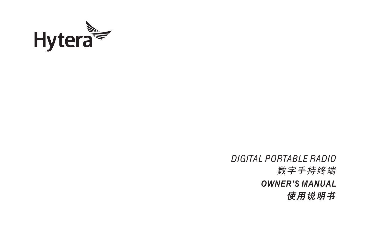

数字手持终端 *DIGITAL PORTABLE RADIO* 使用说明书 *OWNER'S MANUAL*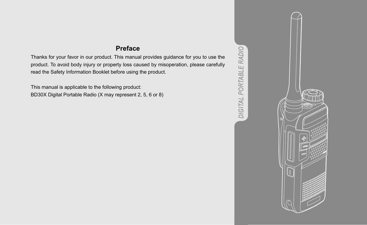#### **Preface**

Thanks for your favor in our product. This manual provides guidance for you to use the product. To avoid body injury or property loss caused by misoperation, please carefully read the Safety Information Booklet before using the product.

This manual is applicable to the following product: BD30X Digital Portable Radio (X may represent 2, 5, 6 or 8)



**DIGITAL PORTABLE RADIO** *DIGITAL PORTABLE RADIO*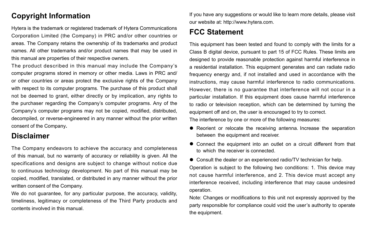#### **Copyright Information**

Hytera is the trademark or registered trademark of Hytera Communications Corporation Limited (the Company) in PRC and/or other countries or areas. The Company retains the ownership of its trademarks and product names. All other trademarks and/or product names that may be used in this manual are properties of their respective owners.

The product described in this manual may include the Company's computer programs stored in memory or other media. Laws in PRC and/ or other countries or areas protect the exclusive rights of the Company with respect to its computer programs. The purchase of this product shall not be deemed to grant, either directly or by implication, any rights to the purchaser regarding the Company's computer programs. Any of the Company's computer programs may not be copied, modified, distributed, decompiled, or reverse-engineered in any manner without the prior written consent of the Company**.**

#### **Disclaimer**

The Company endeavors to achieve the accuracy and completeness of this manual, but no warranty of accuracy or reliability is given. All the specifications and designs are subject to change without notice due to continuous technology development. No part of this manual may be copied, modified, translated, or distributed in any manner without the prior written consent of the Company.

We do not guarantee, for any particular purpose, the accuracy, validity, timeliness, legitimacy or completeness of the Third Party products and contents involved in this manual.

If you have any suggestions or would like to learn more details, please visit our website at: [http://www.hytera.com](http://www.hytera.com/).

#### **FCC Statement**

This equipment has been tested and found to comply with the limits for a Class B digital device, pursuant to part 15 of FCC Rules. These limits are designed to provide reasonable protection against harmful interference in a residential installation. This equipment generates and can radiate radio frequency energy and, if not installed and used in accordance with the instructions, may cause harmful interference to radio communications. However, there is no guarantee that interference will not occur in a particular installation. If this equipment does cause harmful interference to radio or television reception, which can be determined by turning the equipment off and on, the user is encouraged to try to correct. The interference by one or more of the following measures:

- Reorient or relocate the receiving antenna. Increase the separation between the equipment and receiver.
- Connect the equipment into an outlet on a circuit different from that to which the receiver is connected.

● Consult the dealer or an experienced radio/TV technician for help. Operation is subject to the following two conditions: 1. This device may not cause harmful interference, and 2. This device must accept any interference received, including interference that may cause undesired operation.

Note: Changes or modifications to this unit not expressly approved by the party responsible for compliance could void the user's authority to operate the equipment.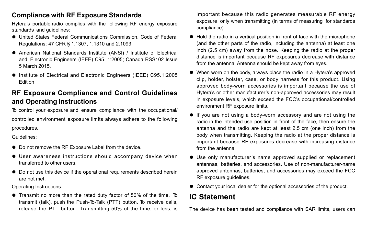#### **Compliance with RF Exposure Standards**

Hytera's portable radio complies with the following RF energy exposure standards and quidelines:

- United States Federal Communications Commission, Code of Federal Regulations; 47 CFR § 1.1307, 1.1310 and 2.1093
- American National Standards Institute (ANSI) / Institute of Flectrical and Electronic Engineers (IEEE) C95. 1:2005; Canada RSS102 Issue 5 March 2015.
- Institute of Electrical and Electronic Engineers (IEEE) C95.1:2005 Edition

#### **RF Exposure Compliance and Control Guidelines and Operating Instructions**

To control your exposure and ensure compliance with the occupational/ controlled environment exposure limits always adhere to the following procedures.

Guidelines:

- Do not remove the RF Exposure Label from the device.
- User awareness instructions should accompany device when transferred to other users.
- Do not use this device if the operational requirements described herein are not met.

Operating Instructions:

● Transmit no more than the rated duty factor of 50% of the time. To transmit (talk), push the Push-To-Talk (PTT) button. To receive calls, release the PTT button. Transmitting 50% of the time, or less, is important because this radio generates measurable RF energy exposure only when transmitting (in terms of measuring for standards compliance).

- Hold the radio in a vertical position in front of face with the microphone (and the other parts of the radio, including the antenna) at least one inch (2.5 cm) away from the nose. Keeping the radio at the proper distance is important because RF exposures decrease with distance from the antenna. Antenna should be kept away from eyes.
- When worn on the body, always place the radio in a Hytera's approved clip, holder, holster, case, or body harness for this product. Using approved body-worn accessories is important because the use of Hytera's or other manufacturer's non-approved accessories may result in exposure levels, which exceed the FCC's occupational/controlled environment RF exposure limits.
- If you are not using a body-worn accessory and are not using the radio in the intended use position in front of the face, then ensure the antenna and the radio are kept at least 2.5 cm (one inch) from the body when transmitting. Keeping the radio at the proper distance is important because RF exposures decrease with increasing distance from the antenna.
- Use only manufacturer's name approved supplied or replacement antennas, batteries, and accessories. Use of non-manufacturer-name approved antennas, batteries, and accessories may exceed the FCC RF exposure quidelines.
- Contact your local dealer for the optional accessories of the product.

#### **IC Statement**

The device has been tested and compliance with SAR limits, users can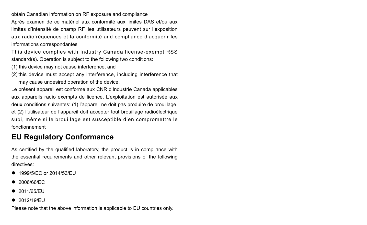obtain Canadian information on RF exposure and compliance Après examen de ce matériel aux conformité aux limites DAS et/ou aux limites d'intensité de champ RF, les utilisateurs peuvent sur l'exposition aux radiofréquences et la conformité and compliance d'acquérir les informations correspondantes

This device complies with Industry Canada license-exempt RSS standard(s). Operation is subject to the following two conditions:

- (1) this device may not cause interference, and
- (2) this device must accept any interference, including interference that may cause undesired operation of the device.

Le présent appareil est conforme aux CNR d'Industrie Canada applicables aux appareils radio exempts de licence. L'exploitation est autorisée aux deux conditions suivantes: (1) l'appareil ne doit pas produire de brouillage, et (2) l'utilisateur de l'appareil doit accepter tout brouillage radioélectrique subi, même si le brouillage est susceptible d'en compromettre le fonctionnement

### **EU Regulatory Conformance**

As certified by the qualified laboratory, the product is in compliance with the essential requirements and other relevant provisions of the following directives:

- 1999/5/EC or 2014/53/EU
- $\bullet$  2006/66/EC
- 2011/65/EU
- 2012/19/EU

Please note that the above information is applicable to EU countries only.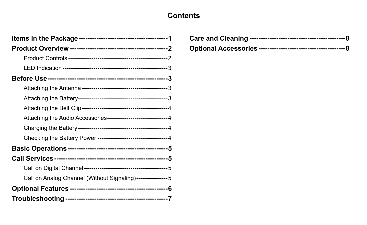## **Contents**

| Attaching the Audio Accessories-----------------------------4 |  |
|---------------------------------------------------------------|--|
|                                                               |  |
|                                                               |  |
|                                                               |  |
|                                                               |  |
|                                                               |  |
| Call on Analog Channel (Without Signaling)----------------5   |  |
|                                                               |  |
|                                                               |  |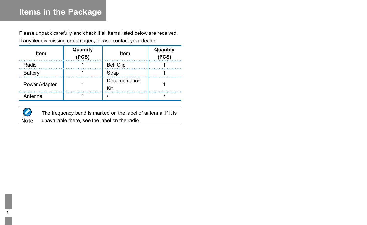# **Items in the Package**

Please unpack carefully and check if all items listed below are received. If any item is missing or damaged, please contact your dealer.

| Item          | Quantity<br>(PCS) | Item                 | Quantity<br>(PCS) |
|---------------|-------------------|----------------------|-------------------|
| Radio         |                   | <b>Belt Clip</b>     |                   |
| Battery       |                   | Strap                |                   |
| Power Adapter |                   | Documentation<br>Kit |                   |
| Antenna       |                   |                      |                   |



The frequency band is marked on the label of antenna; if it is Note unavailable there, see the label on the radio.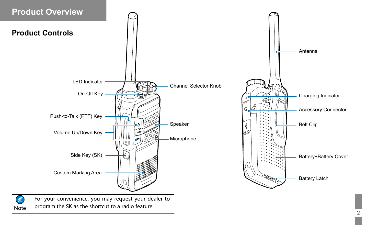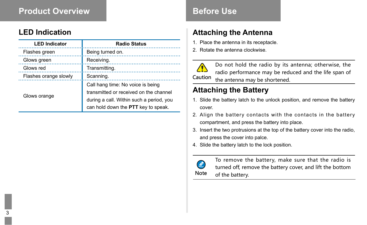## **Product Overview <b>Before Use**

#### **LED Indication**

| <b>LED Indicator</b>  | <b>Radio Status</b>                                                                                                                                            |
|-----------------------|----------------------------------------------------------------------------------------------------------------------------------------------------------------|
| Flashes green         | Being turned on.                                                                                                                                               |
| Glows green           | Receiving.                                                                                                                                                     |
| Glows red             | Transmitting.                                                                                                                                                  |
| Flashes orange slowly | Scanning.                                                                                                                                                      |
| Glows orange          | Call hang time: No voice is being<br>transmitted or received on the channel<br>during a call. Within such a period, you<br>can hold down the PTT key to speak. |

### **Attaching the Antenna**

- 1. Place the antenna in its receptacle.
- 2. Rotate the antenna clockwise.

Do not hold the radio by its antenna; otherwise, the radio performance may be reduced and the life span of the antenna may be shortened. Caution

## **Attaching the Battery**

- 1. Slide the battery latch to the unlock position, and remove the battery cover.
- 2. Align the battery contacts with the contacts in the battery compartment, and press the battery into place.
- 3. Insert the two protrusions at the top of the battery cover into the radio, and press the cover into palce.
- 4. Slide the battery latch to the lock position.



To remove the battery, make sure that the radio is turned off, remove the battery cover, and lift the bottom of the battery.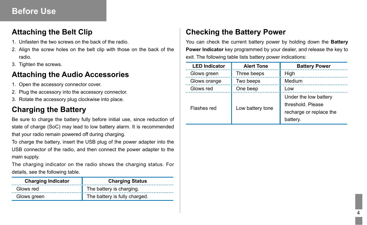#### **Attaching the Belt Clip**

- 1. Unfasten the two screws on the back of the radio.
- 2. Align the screw holes on the belt clip with those on the back of the radio.
- 3. Tighten the screws.

#### **Attaching the Audio Accessories**

- 1. Open the accessory connector cover.
- 2. Plug the accessory into the accessory connector.
- 3. Rotate the accessory plug clockwise into place.

## **Charging the Battery**

Be sure to charge the battery fully before initial use, since reduction of state of charge (SoC) may lead to low battery alarm. It is recommended that your radio remain powered off during charging.

To charge the battery, insert the USB plug of the power adapter into the USB connector of the radio, and then connect the power adapter to the main supply.

The charging indicator on the radio shows the charging status. For details, see the following table.

| <b>Charging Indicator</b> | <b>Charging Status</b>        |
|---------------------------|-------------------------------|
| Glows red                 | The battery is charging.      |
| Glows green               | The battery is fully charged. |

## **Checking the Battery Power**

You can check the current battery power by holding down the **Battery Power Indicator** key programmed by your dealer, and release the key to exit. The following table lists battery power indications:

| <b>LED Indicator</b> | <b>Alert Tone</b> | <b>Battery Power</b>                                                              |
|----------------------|-------------------|-----------------------------------------------------------------------------------|
| Glows green          | Three beeps       | High                                                                              |
| Glows orange         | Two beeps         | Medium                                                                            |
| Glows red            | One beep          | Low                                                                               |
| Flashes red          | Low battery tone  | Under the low battery<br>threshold. Please<br>recharge or replace the<br>battery. |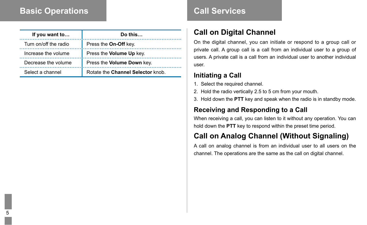## **Basic Operations**

| If you want to        | Do this                           |
|-----------------------|-----------------------------------|
| Turn on/off the radio | Press the On-Off key.             |
| Increase the volume   | Press the Volume Up key.          |
| Decrease the volume   | Press the Volume Down key.        |
| Select a channel      | Rotate the Channel Selector knob. |

## **Call Services**

## **Call on Digital Channel**

On the digital channel, you can initiate or respond to a group call or private call. A group call is a call from an individual user to a group of users. A private call is a call from an individual user to another individual user.

#### **Initiating a Call**

- 1. Select the required channel.
- 2. Hold the radio vertically 2.5 to 5 cm from your mouth.
- 3. Hold down the **PTT** key and speak when the radio is in standby mode.

#### **Receiving and Responding to a Call**

When receiving a call, you can listen to it without any operation. You can hold down the **PTT** key to respond within the preset time period.

# **Call on Analog Channel (Without Signaling)**

A call on analog channel is from an individual user to all users on the channel. The operations are the same as the call on digital channel.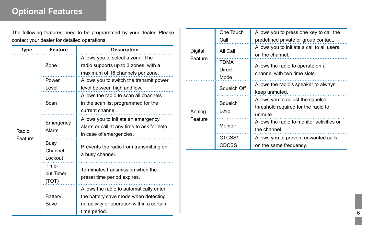# **Optional Features**

The following features need to be programmed by your dealer. Please contact your dealer for detailed operations.

| Type    | Feature                     | <b>Description</b>                                                                                                                           |
|---------|-----------------------------|----------------------------------------------------------------------------------------------------------------------------------------------|
|         |                             | Allows you to select a zone. The                                                                                                             |
|         | Zone                        | radio supports up to 3 zones, with a                                                                                                         |
|         | Power                       | maximum of 16 channels per zone.<br>Allows you to switch the transmit power                                                                  |
|         | Level                       | level between high and low.<br>Allows the radio to scan all channels                                                                         |
|         | Scan                        | in the scan list programmed for the<br>current channel.                                                                                      |
|         | Emergency                   | Allows you to initiate an emergency<br>alarm or call at any time to ask for help                                                             |
| Radio   | Alarm                       | in case of emergencies.                                                                                                                      |
| Feature | Busy<br>Channel<br>Lockout  | Prevents the radio from transmitting on<br>a busy channel.                                                                                   |
|         | Time-<br>out Timer<br>(TOT) | Terminates transmission when the<br>preset time period expires.                                                                              |
|         | Battery<br>Save             | Allows the radio to automatically enter<br>the battery save mode when detecting<br>no activity or operation within a certain<br>time period. |

|                   | One Touch        | Allows you to press one key to call the    |  |
|-------------------|------------------|--------------------------------------------|--|
|                   | Call             | predefined private or group contact.       |  |
| Digital           | All Call         | Allows you to initiate a call to all users |  |
| Feature           |                  | on the channel.                            |  |
|                   | TDMA             | Allows the radio to operate on a           |  |
|                   | Direct           | channel with two time slots.               |  |
|                   | Mode             |                                            |  |
|                   | Squelch Off      | Allows the radio's speaker to always       |  |
|                   |                  | keep unmuted.                              |  |
|                   | Squelch<br>Level | Allows you to adjust the squelch           |  |
|                   |                  | threshold required for the radio to        |  |
| Analog<br>Feature |                  | unmute.                                    |  |
|                   | Monitor          | Allows the radio to monitor activities on  |  |
|                   |                  | the channel.                               |  |
|                   | CTCSS/           | Allows you to prevent unwanted calls       |  |
|                   | CDCSS            | on the same frequency.                     |  |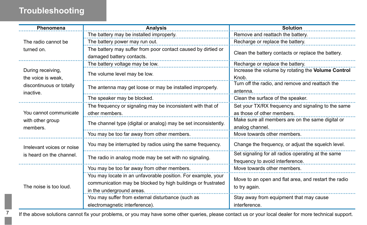# **Troubleshooting**

7

| Phenomena                                                                        | <b>Analysis</b>                                                                            | Solution                                                                               |  |
|----------------------------------------------------------------------------------|--------------------------------------------------------------------------------------------|----------------------------------------------------------------------------------------|--|
|                                                                                  | The battery may be installed improperly.                                                   | Remove and reattach the battery.                                                       |  |
| The radio cannot be                                                              | The battery power may run out.                                                             | Recharge or replace the battery.                                                       |  |
| turned on.                                                                       | The battery may suffer from poor contact caused by dirtied or<br>damaged battery contacts. | Clean the battery contacts or replace the battery.                                     |  |
|                                                                                  | The battery voltage may be low.                                                            | Recharge or replace the battery.                                                       |  |
| During receiving,<br>the voice is weak.<br>discontinuous or totally<br>inactive. | The volume level may be low.                                                               | Increase the volume by rotating the Volume Control<br>Knob.                            |  |
|                                                                                  | The antenna may get loose or may be installed improperly.                                  | Turn off the radio, and remove and reattach the<br>antenna.                            |  |
|                                                                                  | The speaker may be blocked.                                                                | Clean the surface of the speaker.                                                      |  |
| You cannot communicate<br>with other group<br>members.                           | The frequency or signaling may be inconsistent with that of<br>other members.              | Set your TX/RX frequency and signaling to the same<br>as those of other members.       |  |
|                                                                                  | The channel type (digital or analog) may be set inconsistently.                            | Make sure all members are on the same digital or<br>analog channel.                    |  |
|                                                                                  | You may be too far away from other members.                                                | Move towards other members.                                                            |  |
| Irrelevant voices or noise<br>is heard on the channel.                           | You may be interrupted by radios using the same frequency.                                 | Change the frequency, or adjust the squelch level.                                     |  |
|                                                                                  | The radio in analog mode may be set with no signaling.                                     | Set signaling for all radios operating at the same<br>frequency to avoid interference. |  |
|                                                                                  | You may be too far away from other members.                                                | Move towards other members.                                                            |  |
| The noise is too loud.                                                           | You may locate in an unfavorable position. For example, your                               |                                                                                        |  |
|                                                                                  | communication may be blocked by high buildings or frustrated                               | Move to an open and flat area, and restart the radio                                   |  |
|                                                                                  | in the underground areas.                                                                  | to try again.                                                                          |  |
|                                                                                  | You may suffer from external disturbance (such as                                          | Stay away from equipment that may cause                                                |  |
|                                                                                  | electromagnetic interference).                                                             | interference.                                                                          |  |

If the above solutions cannot fix your problems, or you may have some other queries, please contact us or your local dealer for more technical support.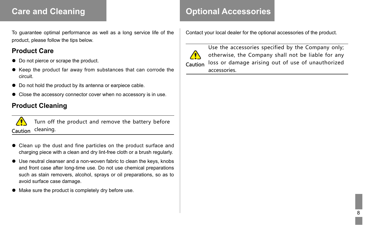# **Care and Cleaning**

To guarantee optimal performance as well as a long service life of the product, please follow the tips below.

#### **Product Care**

- Do not pierce or scrape the product.
- Keep the product far away from substances that can corrode the circuit.
- Do not hold the product by its antenna or earpiece cable.
- Close the accessory connector cover when no accessory is in use.

#### **Product Cleaning**



Turn off the product and remove the battery before cleaning. Caution

- Clean up the dust and fine particles on the product surface and charging piece with a clean and dry lint-free cloth or a brush regularly.
- Use neutral cleanser and a non-woven fabric to clean the keys, knobs and front case after long-time use. Do not use chemical preparations such as stain removers, alcohol, sprays or oil preparations, so as to avoid surface case damage.
- Make sure the product is completely dry before use.

## **Optional Accessories**

Contact your local dealer for the optional accessories of the product.



Use the accessories specified by the Company only; otherwise, the Company shall not be liable for any loss or damage arising out of use of unauthorized accessories.